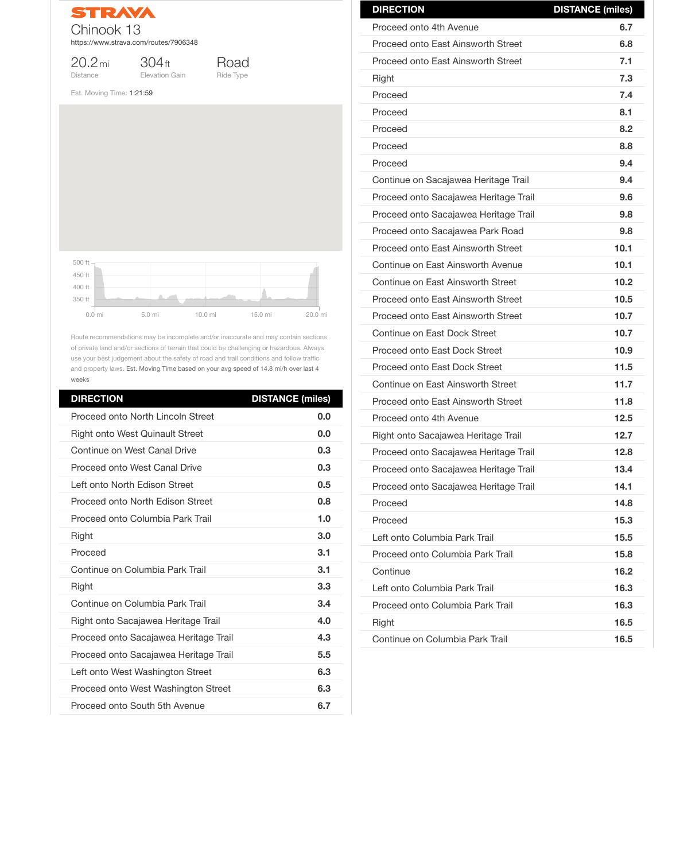

20.2mi Distance

304ft Elevation Gain

Road Ride Type

Est. Moving Time: 1:21:59

Route recommendations may be incomplete and/or inaccurate and may contain sections of private land and/or sections of terrain that could be challenging or hazardous. Always use your best judgement about the safety of road and trail conditions and follow traffic and property laws. Est. Moving Time based on your avg speed of 14.8 mi/h over last 4 weeks

| <b>DIRECTION</b>                         | <b>DISTANCE (miles)</b> |
|------------------------------------------|-------------------------|
| <b>Proceed onto North Lincoln Street</b> | 0.0                     |
| <b>Right onto West Quinault Street</b>   | 0.0                     |
| <b>Continue on West Canal Drive</b>      | 0.3                     |
| <b>Proceed onto West Canal Drive</b>     | 0.3                     |
| Left onto North Edison Street            | 0.5                     |
| Proceed onto North Edison Street         | 0.8                     |
| Proceed onto Columbia Park Trail         | 1.0                     |
| <b>Right</b>                             | 3.0                     |
| Proceed                                  | 3.1                     |
| Continue on Columbia Park Trail          | 3.1                     |
| Right                                    | 3.3                     |
| Continue on Columbia Park Trail          | 3.4                     |
| Right onto Sacajawea Heritage Trail      | 4.0                     |
| Proceed onto Sacajawea Heritage Trail    | 4.3                     |
| Proceed onto Sacajawea Heritage Trail    | 5.5                     |
| Left onto West Washington Street         | 6.3                     |
| Proceed onto West Washington Street      | 6.3                     |
| Proceed onto South 5th Avenue            | 6.7                     |



| <b>DIRECTION</b>                          | <b>DISTANCE (miles)</b> |
|-------------------------------------------|-------------------------|
| Proceed onto 4th Avenue                   | 6.7                     |
| <b>Proceed onto East Ainsworth Street</b> | 6.8                     |
| Proceed onto East Ainsworth Street        | 7.1                     |
| <b>Right</b>                              | 7.3                     |
| Proceed                                   | 7.4                     |
| Proceed                                   | 8.1                     |
| Proceed                                   | 8.2                     |
| Proceed                                   | 8.8                     |
| Proceed                                   | 9.4                     |
| Continue on Sacajawea Heritage Trail      | 9.4                     |
| Proceed onto Sacajawea Heritage Trail     | 9.6                     |
| Proceed onto Sacajawea Heritage Trail     | 9.8                     |
| Proceed onto Sacajawea Park Road          | 9.8                     |
| <b>Proceed onto East Ainsworth Street</b> | 10.1                    |
| Continue on East Ainsworth Avenue         | 10.1                    |
| Continue on East Ainsworth Street         | 10.2                    |
| <b>Proceed onto East Ainsworth Street</b> | 10.5                    |
| Proceed onto East Ainsworth Street        | 10.7                    |
| Continue on East Dock Street              | 10.7                    |
| Proceed onto East Dock Street             | 10.9                    |
| <b>Proceed onto East Dock Street</b>      | 11.5                    |
| Continue on East Ainsworth Street         | 11.7                    |
| Proceed onto East Ainsworth Street        | 11.8                    |
| Proceed onto 4th Avenue                   | 12.5                    |
| Right onto Sacajawea Heritage Trail       | 12.7                    |
| Proceed onto Sacajawea Heritage Trail     | 12.8                    |
| Proceed onto Sacajawea Heritage Trail     | 13.4                    |
| Proceed onto Sacajawea Heritage Trail     | 14.1                    |
| Proceed                                   | 14.8                    |
| Proceed                                   | 15.3                    |

| Left onto Columbia Park Trail    | 15.5 |
|----------------------------------|------|
| Proceed onto Columbia Park Trail | 15.8 |
| Continue                         | 16.2 |
| Left onto Columbia Park Trail    | 16.3 |
| Proceed onto Columbia Park Trail | 16.3 |
| <b>Right</b>                     | 16.5 |
| Continue on Columbia Park Trail  | 16.5 |
|                                  |      |